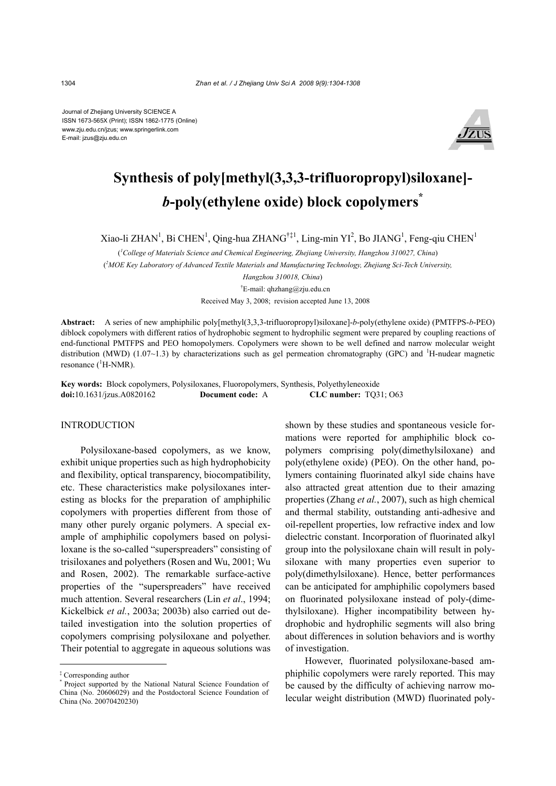Journal of Zhejiang University SCIENCE A ISSN 1673-565X (Print); ISSN 1862-1775 (Online) www.zju.edu.cn/jzus; www.springerlink.com E-mail: jzus@zju.edu.cn



# **Synthesis of poly[methyl(3,3,3-trifluoropropyl)siloxane]**  *b***-poly(ethylene oxide) block copolymers\***

Xiao-li ZHAN<sup>1</sup>, Bi CHEN<sup>1</sup>, Qing-hua ZHANG<sup>†‡1</sup>, Ling-min YI<sup>2</sup>, Bo JIANG<sup>1</sup>, Feng-qiu CHEN<sup>1</sup>

( *1 College of Materials Science and Chemical Engineering, Zhejiang University, Hangzhou 310027, China*)

( *2 MOE Key Laboratory of Advanced Textile Materials and Manufacturing Technology, Zhejiang Sci-Tech University,* 

 *Hangzhou 310018, China*)

† E-mail: qhzhang@zju.edu.cn

Received May 3, 2008; revision accepted June 13, 2008

**Abstract:** A series of new amphiphilic poly[methyl(3,3,3-trifluoropropyl)siloxane]-*b*-poly(ethylene oxide) (PMTFPS-*b*-PEO) diblock copolymers with different ratios of hydrophobic segment to hydrophilic segment were prepared by coupling reactions of end-functional PMTFPS and PEO homopolymers. Copolymers were shown to be well defined and narrow molecular weight distribution (MWD) (1.07~1.3) by characterizations such as gel permeation chromatography (GPC) and <sup>1</sup>H-nudear magnetic resonance  $(^1H\text{-NMR})$ .

**Key words:** Block copolymers, Polysiloxanes, Fluoropolymers, Synthesis, Polyethyleneoxide **doi:**10.1631/jzus.A0820162 **Document code:** A **CLC number:** TQ31; O63

## **INTRODUCTION**

Polysiloxane-based copolymers, as we know, exhibit unique properties such as high hydrophobicity and flexibility, optical transparency, biocompatibility, etc. These characteristics make polysiloxanes interesting as blocks for the preparation of amphiphilic copolymers with properties different from those of many other purely organic polymers. A special example of amphiphilic copolymers based on polysiloxane is the so-called "superspreaders" consisting of trisiloxanes and polyethers (Rosen and Wu, 2001; Wu and Rosen, 2002). The remarkable surface-active properties of the "superspreaders" have received much attention. Several researchers (Lin *et al*., 1994; Kickelbick *et al.*, 2003a; 2003b) also carried out detailed investigation into the solution properties of copolymers comprising polysiloxane and polyether. Their potential to aggregate in aqueous solutions was

shown by these studies and spontaneous vesicle formations were reported for amphiphilic block copolymers comprising poly(dimethylsiloxane) and poly(ethylene oxide) (PEO). On the other hand, polymers containing fluorinated alkyl side chains have also attracted great attention due to their amazing properties (Zhang *et al.*, 2007), such as high chemical and thermal stability, outstanding anti-adhesive and oil-repellent properties, low refractive index and low dielectric constant. Incorporation of fluorinated alkyl group into the polysiloxane chain will result in polysiloxane with many properties even superior to poly(dimethylsiloxane). Hence, better performances can be anticipated for amphiphilic copolymers based on fluorinated polysiloxane instead of poly-(dimethylsiloxane). Higher incompatibility between hydrophobic and hydrophilic segments will also bring about differences in solution behaviors and is worthy of investigation.

However, fluorinated polysiloxane-based amphiphilic copolymers were rarely reported. This may be caused by the difficulty of achieving narrow molecular weight distribution (MWD) fluorinated poly-

<sup>‡</sup> Corresponding author

<sup>\*</sup> Project supported by the National Natural Science Foundation of China (No. 20606029) and the Postdoctoral Science Foundation of China (No. 20070420230)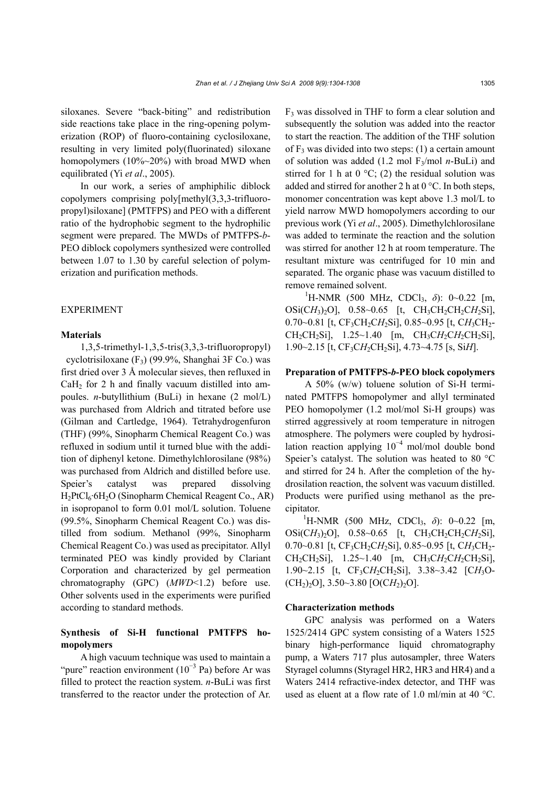siloxanes. Severe "back-biting" and redistribution side reactions take place in the ring-opening polymerization (ROP) of fluoro-containing cyclosiloxane, resulting in very limited poly(fluorinated) siloxane homopolymers (10%~20%) with broad MWD when equilibrated (Yi *et al*., 2005).

In our work, a series of amphiphilic diblock copolymers comprising poly[methyl(3,3,3-trifluoropropyl)siloxane] (PMTFPS) and PEO with a different ratio of the hydrophobic segment to the hydrophilic segment were prepared. The MWDs of PMTFPS-*b*-PEO diblock copolymers synthesized were controlled between 1.07 to 1.30 by careful selection of polymerization and purification methods.

## EXPERIMENT

#### **Materials**

1,3,5-trimethyl-1,3,5-tris(3,3,3-trifluoropropyl) cyclotrisiloxane (F3) (99.9%, Shanghai 3F Co.) was first dried over 3 Å molecular sieves, then refluxed in  $CaH<sub>2</sub>$  for 2 h and finally vacuum distilled into ampoules. *n*-butyllithium (BuLi) in hexane (2 mol/L) was purchased from Aldrich and titrated before use (Gilman and Cartledge, 1964). Tetrahydrogenfuron (THF) (99%, Sinopharm Chemical Reagent Co.) was refluxed in sodium until it turned blue with the addition of diphenyl ketone. Dimethylchlorosilane (98%) was purchased from Aldrich and distilled before use. Speier's catalyst was prepared dissolving  $H_2PtCl_6·6H_2O$  (Sinopharm Chemical Reagent Co., AR) in isopropanol to form 0.01 mol/L solution. Toluene (99.5%, Sinopharm Chemical Reagent Co.) was distilled from sodium. Methanol (99%, Sinopharm Chemical Reagent Co.) was used as precipitator. Allyl terminated PEO was kindly provided by Clariant Corporation and characterized by gel permeation chromatography (GPC) (*MWD*<1.2) before use. Other solvents used in the experiments were purified according to standard methods.

# **Synthesis of Si-H functional PMTFPS homopolymers**

A high vacuum technique was used to maintain a "pure" reaction environment  $(10^{-3}$  Pa) before Ar was filled to protect the reaction system. *n*-BuLi was first transferred to the reactor under the protection of Ar.

 $F<sub>3</sub>$  was dissolved in THF to form a clear solution and subsequently the solution was added into the reactor to start the reaction. The addition of the THF solution of  $F_3$  was divided into two steps: (1) a certain amount of solution was added (1.2 mol F3/mol *n*-BuLi) and stirred for 1 h at  $0^{\circ}$ C; (2) the residual solution was added and stirred for another 2 h at 0 °C. In both steps, monomer concentration was kept above 1.3 mol/L to yield narrow MWD homopolymers according to our previous work (Yi *et al*., 2005). Dimethylchlorosilane was added to terminate the reaction and the solution was stirred for another 12 h at room temperature. The resultant mixture was centrifuged for 10 min and separated. The organic phase was vacuum distilled to remove remained solvent.

<sup>1</sup>H-NMR (500 MHz, CDCl<sub>3</sub>, δ): 0~0.22 [m, OSi(CH<sub>3</sub>)<sub>2</sub>O], 0.58~0.65 [t, CH<sub>3</sub>CH<sub>2</sub>CH<sub>2</sub>CH<sub>2</sub>Si], 0.70~0.81 [t, CF<sub>3</sub>CH<sub>2</sub>CH<sub>2</sub>Si], 0.85~0.95 [t, CH<sub>3</sub>CH<sub>2</sub>-CH<sub>2</sub>CH<sub>2</sub>Si], 1.25~1.40 [m, CH<sub>3</sub>CH<sub>2</sub>CH<sub>2</sub>CH<sub>2</sub>Si], 1.90~2.15 [t, CF3C*H*2CH2Si], 4.73~4.75 [s, Si*H*].

## **Preparation of PMTFPS-***b***-PEO block copolymers**

A 50% (w/w) toluene solution of Si-H terminated PMTFPS homopolymer and allyl terminated PEO homopolymer (1.2 mol/mol Si-H groups) was stirred aggressively at room temperature in nitrogen atmosphere. The polymers were coupled by hydrosilation reaction applying  $10^{-4}$  mol/mol double bond Speier's catalyst. The solution was heated to 80 °C and stirred for 24 h. After the completion of the hydrosilation reaction, the solvent was vacuum distilled. Products were purified using methanol as the precipitator.

<sup>1</sup>H-NMR (500 MHz, CDCl<sub>3</sub>, δ): 0~0.22 [m, OSi(CH<sub>3</sub>)<sub>2</sub>O], 0.58~0.65 [t, CH<sub>3</sub>CH<sub>2</sub>CH<sub>2</sub>CH<sub>2</sub>Si], 0.70~0.81 [t, CF<sub>3</sub>CH<sub>2</sub>CH<sub>2</sub>Si], 0.85~0.95 [t, CH<sub>3</sub>CH<sub>2</sub>- $CH_2CH_2Si$ ], 1.25~1.40 [m,  $CH_3CH_2CH_2CH_2Si$ ], 1.90~2.15 [t, CF3C*H*2CH2Si], 3.38~3.42 [C*H*3O-  $[CH<sub>2</sub>)<sub>2</sub>O]$ , 3.50~3.80  $[O(CH<sub>2</sub>)<sub>2</sub>O]$ .

## **Characterization methods**

GPC analysis was performed on a Waters 1525/2414 GPC system consisting of a Waters 1525 binary high-performance liquid chromatography pump, a Waters 717 plus autosampler, three Waters Styragel columns (Styragel HR2, HR3 and HR4) and a Waters 2414 refractive-index detector, and THF was used as eluent at a flow rate of 1.0 ml/min at 40 °C.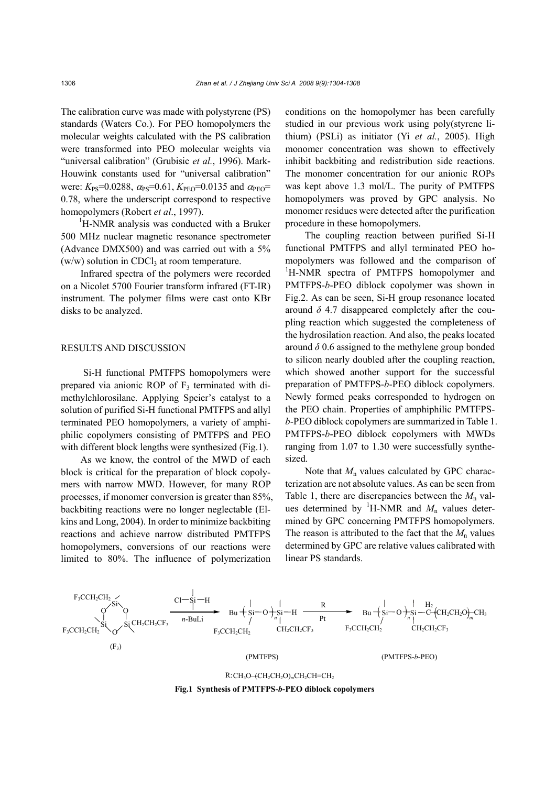The calibration curve was made with polystyrene (PS) standards (Waters Co.). For PEO homopolymers the molecular weights calculated with the PS calibration were transformed into PEO molecular weights via "universal calibration" (Grubisic *et al.*, 1996). Mark-Houwink constants used for "universal calibration" were:  $K_{PS}$ =0.0288,  $\alpha_{PS}$ =0.61,  $K_{PEO}$ =0.0135 and  $\alpha_{PEO}$ = 0.78, where the underscript correspond to respective homopolymers (Robert *et al*., 1997).

<sup>1</sup>H-NMR analysis was conducted with a Bruker 500 MHz nuclear magnetic resonance spectrometer (Advance DMX500) and was carried out with a 5%  $(w/w)$  solution in CDCl<sub>3</sub> at room temperature.

Infrared spectra of the polymers were recorded on a Nicolet 5700 Fourier transform infrared (FT-IR) instrument. The polymer films were cast onto KBr disks to be analyzed.

#### RESULTS AND DISCUSSION

Si-H functional PMTFPS homopolymers were prepared via anionic ROP of  $F_3$  terminated with dimethylchlorosilane. Applying Speier's catalyst to a solution of purified Si-H functional PMTFPS and allyl terminated PEO homopolymers, a variety of amphiphilic copolymers consisting of PMTFPS and PEO with different block lengths were synthesized (Fig.1).

As we know, the control of the MWD of each block is critical for the preparation of block copolymers with narrow MWD. However, for many ROP processes, if monomer conversion is greater than 85%, backbiting reactions were no longer neglectable (Elkins and Long, 2004). In order to minimize backbiting reactions and achieve narrow distributed PMTFPS homopolymers, conversions of our reactions were limited to 80%. The influence of polymerization

conditions on the homopolymer has been carefully studied in our previous work using poly(styrene lithium) (PSLi) as initiator (Yi *et al.*, 2005). High monomer concentration was shown to effectively inhibit backbiting and redistribution side reactions. The monomer concentration for our anionic ROPs was kept above 1.3 mol/L. The purity of PMTFPS homopolymers was proved by GPC analysis. No monomer residues were detected after the purification procedure in these homopolymers.

The coupling reaction between purified Si-H functional PMTFPS and allyl terminated PEO homopolymers was followed and the comparison of <sup>1</sup>H-NMR spectra of PMTFPS homopolymer and PMTFPS-*b*-PEO diblock copolymer was shown in Fig.2. As can be seen, Si-H group resonance located around  $\delta$  4.7 disappeared completely after the coupling reaction which suggested the completeness of the hydrosilation reaction. And also, the peaks located around  $\delta$  0.6 assigned to the methylene group bonded to silicon nearly doubled after the coupling reaction, which showed another support for the successful preparation of PMTFPS-*b*-PEO diblock copolymers. Newly formed peaks corresponded to hydrogen on the PEO chain. Properties of amphiphilic PMTFPS*b*-PEO diblock copolymers are summarized in Table 1. PMTFPS-*b*-PEO diblock copolymers with MWDs ranging from 1.07 to 1.30 were successfully synthesized.

Note that  $M_n$  values calculated by GPC characterization are not absolute values. As can be seen from Table 1, there are discrepancies between the  $M_n$  values determined by <sup>1</sup>H-NMR and  $M_n$  values determined by GPC concerning PMTFPS homopolymers. The reason is attributed to the fact that the  $M_n$  values determined by GPC are relative values calibrated with linear PS standards.



R: CH<sub>3</sub>O-(CH<sub>2</sub>CH<sub>2</sub>O)<sub>m</sub>CH<sub>2</sub>CH=CH<sub>2</sub>

**Fig.1 Synthesis of PMTFPS-***b***-PEO diblock copolymers**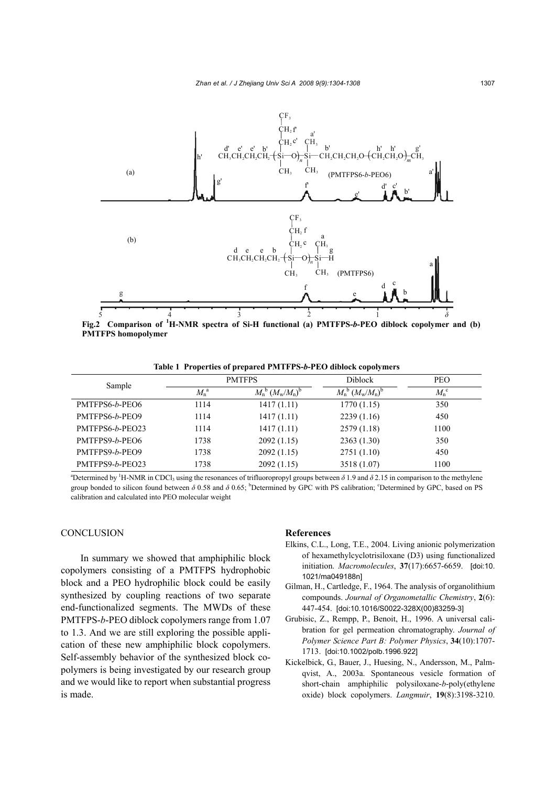

**Fig.2 Comparison of <sup>1</sup> H-NMR spectra of Si-H functional (a) PMTFPS-***b***-PEO diblock copolymer and (b) PMTFPS homopolymer**

**Table 1 Properties of prepared PMTFPS-***b***-PEO diblock copolymers**

| Sample          | <b>PMTFPS</b>       |                               | <b>Diblock</b>                | <b>PEO</b>         |
|-----------------|---------------------|-------------------------------|-------------------------------|--------------------|
|                 | $M_{\rm n}^{\rm a}$ | $M_{n}^{b} (M_{w}/M_{n})^{b}$ | $M_{n}^{b} (M_{w}/M_{n})^{b}$ | $M_{n}^{\text{c}}$ |
| PMTFPS6-b-PEO6  | 1114                | 1417(1.11)                    | 1770(1.15)                    | 350                |
| PMTFPS6-b-PEO9  | 1114                | 1417(1.11)                    | 2239(1.16)                    | 450                |
| PMTFPS6-b-PEO23 | 1114                | 1417(1.11)                    | 2579 (1.18)                   | 1100               |
| PMTFPS9-b-PEO6  | 1738                | 2092(1.15)                    | 2363(1.30)                    | 350                |
| PMTFPS9-b-PEO9  | 1738                | 2092(1.15)                    | 2751(1.10)                    | 450                |
| PMTFPS9-b-PEO23 | 1738                | 2092(1.15)                    | 3518 (1.07)                   | 1100               |

<sup>a</sup>Determined by <sup>1</sup>H-NMR in CDCl<sub>3</sub> using the resonances of trifluoropropyl groups between  $\delta$  1.9 and  $\delta$  2.15 in comparison to the methylene group bonded to silicon found between  $\delta$  0.58 and  $\delta$  0.65; <sup>b</sup>Determined by GPC with PS calibration; °Determined by GPC, based on PS calibration and calculated into PEO molecular weight

## **CONCLUSION**

In summary we showed that amphiphilic block copolymers consisting of a PMTFPS hydrophobic block and a PEO hydrophilic block could be easily synthesized by coupling reactions of two separate end-functionalized segments. The MWDs of these PMTFPS-*b*-PEO diblock copolymers range from 1.07 to 1.3. And we are still exploring the possible application of these new amphiphilic block copolymers. Self-assembly behavior of the synthesized block copolymers is being investigated by our research group and we would like to report when substantial progress is made.

#### **References**

- Elkins, C.L., Long, T.E., 2004. Living anionic polymerization of hexamethylcyclotrisiloxane (D3) using functionalized initiation. *Macromolecules*, **37**(17):6657-6659. [doi:10. 1021/ma049188n]
- Gilman, H., Cartledge, F., 1964. The analysis of organolithium compounds. *Journal of Organometallic Chemistry*, **2**(6): 447-454. [doi:10.1016/S0022-328X(00)83259-3]
- Grubisic, Z., Rempp, P., Benoit, H., 1996. A universal calibration for gel permeation chromatography. *Journal of Polymer Science Part B: Polymer Physics*, **34**(10):1707- 1713. [doi:10.1002/polb.1996.922]
- Kickelbick, G., Bauer, J., Huesing, N., Andersson, M., Palmqvist, A., 2003a. Spontaneous vesicle formation of short-chain amphiphilic polysiloxane-*b*-poly(ethylene oxide) block copolymers. *Langmuir*, **19**(8):3198-3210.